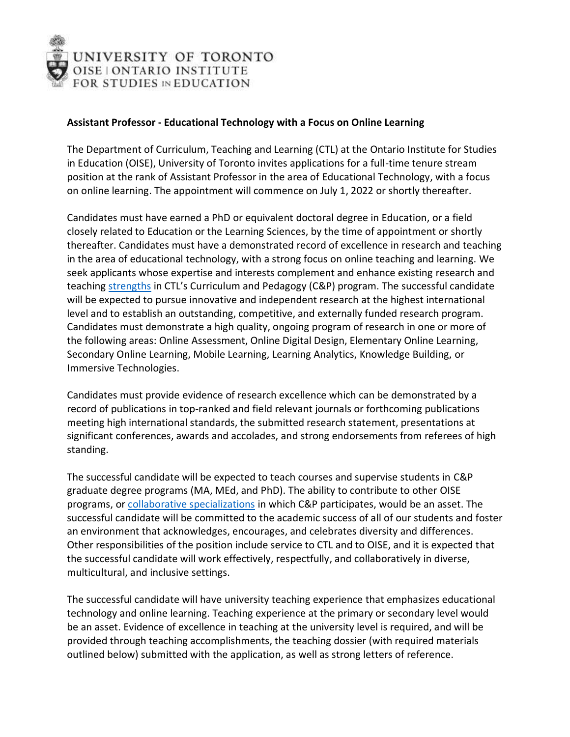

## **Assistant Professor - Educational Technology with a Focus on Online Learning**

The Department of Curriculum, Teaching and Learning (CTL) at the Ontario Institute for Studies in Education (OISE), University of Toronto invites applications for a full-time tenure stream position at the rank of Assistant Professor in the area of Educational Technology, with a focus on online learning. The appointment will commence on July 1, 2022 or shortly thereafter.

Candidates must have earned a PhD or equivalent doctoral degree in Education, or a field closely related to Education or the Learning Sciences, by the time of appointment or shortly thereafter. Candidates must have a demonstrated record of excellence in research and teaching in the area of educational technology, with a strong focus on online teaching and learning. We seek applicants whose expertise and interests complement and enhance existing research and teaching [strengths](https://www.oise.utoronto.ca/ctl/Faculty_Profiles/index.html) in CTL's Curriculum and Pedagogy (C&P) program. The successful candidate will be expected to pursue innovative and independent research at the highest international level and to establish an outstanding, competitive, and externally funded research program. Candidates must demonstrate a high quality, ongoing program of research in one or more of the following areas: Online Assessment, Online Digital Design, Elementary Online Learning, Secondary Online Learning, Mobile Learning, Learning Analytics, Knowledge Building, or Immersive Technologies.

Candidates must provide evidence of research excellence which can be demonstrated by a record of publications in top-ranked and field relevant journals or forthcoming publications meeting high international standards, the submitted research statement, presentations at significant conferences, awards and accolades, and strong endorsements from referees of high standing.

The successful candidate will be expected to teach courses and supervise students in C&P graduate degree programs (MA, MEd, and PhD). The ability to contribute to other OISE programs, or [collaborative specializations](https://www.oise.utoronto.ca/oise/Programs/Collaborative_Specializations.html) in which C&P participates, would be an asset. The successful candidate will be committed to the academic success of all of our students and foster an environment that acknowledges, encourages, and celebrates diversity and differences. Other responsibilities of the position include service to CTL and to OISE, and it is expected that the successful candidate will work effectively, respectfully, and collaboratively in diverse, multicultural, and inclusive settings.

The successful candidate will have university teaching experience that emphasizes educational technology and online learning. Teaching experience at the primary or secondary level would be an asset. Evidence of excellence in teaching at the university level is required, and will be provided through teaching accomplishments, the teaching dossier (with required materials outlined below) submitted with the application, as well as strong letters of reference.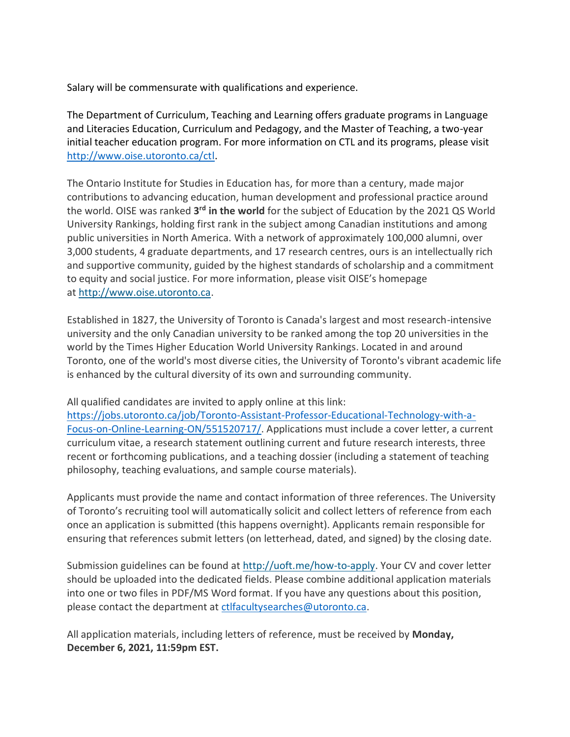Salary will be commensurate with qualifications and experience.

The Department of Curriculum, Teaching and Learning offers graduate programs in Language and Literacies Education, Curriculum and Pedagogy, and the Master of Teaching, a two-year initial teacher education program. For more information on CTL and its programs, please visit [http://www.oise.utoronto.ca/ctl.](http://www.oise.utoronto.ca/ctl)

The Ontario Institute for Studies in Education has, for more than a century, made major contributions to advancing education, human development and professional practice around the world. OISE was ranked 3<sup>rd</sup> in the world for the subject of Education by the 2021 QS World University Rankings, holding first rank in the subject among Canadian institutions and among public universities in North America. With a network of approximately 100,000 alumni, over 3,000 students, 4 graduate departments, and 17 research centres, ours is an intellectually rich and supportive community, guided by the highest standards of scholarship and a commitment to equity and social justice. For more information, please visit OISE's homepage at [http://www.oise.utoronto.ca.](http://www.oise.utoronto.ca/)

Established in 1827, the University of Toronto is Canada's largest and most research-intensive university and the only Canadian university to be ranked among the top 20 universities in the world by the Times Higher Education World University Rankings. Located in and around Toronto, one of the world's most diverse cities, the University of Toronto's vibrant academic life is enhanced by the cultural diversity of its own and surrounding community.

All qualified candidates are invited to apply online at this link:

[https://jobs.utoronto.ca/job/Toronto-Assistant-Professor-Educational-Technology-with-a-](https://jobs.utoronto.ca/job/Toronto-Assistant-Professor-Educational-Technology-with-a-Focus-on-Online-Learning-ON/551520717/)[Focus-on-Online-Learning-ON/551520717/.](https://jobs.utoronto.ca/job/Toronto-Assistant-Professor-Educational-Technology-with-a-Focus-on-Online-Learning-ON/551520717/) Applications must include a cover letter, a current curriculum vitae, a research statement outlining current and future research interests, three recent or forthcoming publications, and a teaching dossier (including a statement of teaching philosophy, teaching evaluations, and sample course materials).

Applicants must provide the name and contact information of three references. The University of Toronto's recruiting tool will automatically solicit and collect letters of reference from each once an application is submitted (this happens overnight). Applicants remain responsible for ensuring that references submit letters (on letterhead, dated, and signed) by the closing date.

Submission guidelines can be found at [http://uoft.me/how-to-apply.](http://uoft.me/how-to-apply) Your CV and cover letter should be uploaded into the dedicated fields. Please combine additional application materials into one or two files in PDF/MS Word format. If you have any questions about this position, please contact the department at [ctlfacultysearches@utoronto.ca.](mailto:ctlfacultysearches@utoronto.ca?subject=Educational%20Technology%20search)

All application materials, including letters of reference, must be received by **Monday, December 6, 2021, 11:59pm EST.**